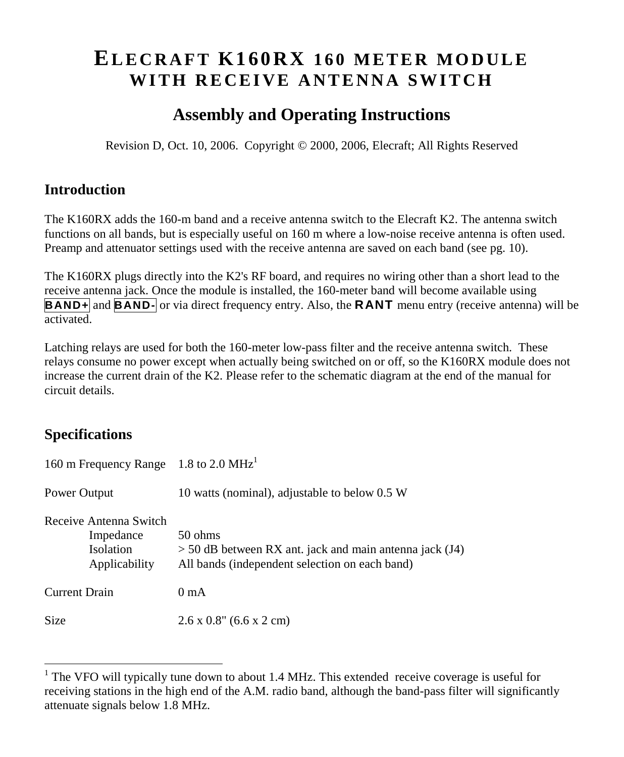# **EL E C R A F T K1 60 R X 1 6 0 M E T E R M O D U L E** WITH RECEIVE ANTENNA SWITCH

# **Assembly and Operating Instructions**

Revision D, Oct. 10, 2006. Copyright © 2000, 2006, Elecraft; All Rights Reserved

### **Introduction**

The K160RX adds the 160-m band and a receive antenna switch to the Elecraft K2. The antenna switch functions on all bands, but is especially useful on 160 m where a low-noise receive antenna is often used. Preamp and attenuator settings used with the receive antenna are saved on each band (see pg. 10).

The K160RX plugs directly into the K2's RF board, and requires no wiring other than a short lead to the receive antenna jack. Once the module is installed, the 160-meter band will become available using **BAND+** and **BAND**- or via direct frequency entry. Also, the **RANT** menu entry (receive antenna) will be activated.

Latching relays are used for both the 160-meter low-pass filter and the receive antenna switch. These relays consume no power except when actually being switched on or off, so the K160RX module does not increase the current drain of the K2. Please refer to the schematic diagram at the end of the manual for circuit details.

### **Specifications**

| 160 m Frequency Range 1.8 to 2.0 MHz <sup>1</sup>                        |                                                                                                                        |  |
|--------------------------------------------------------------------------|------------------------------------------------------------------------------------------------------------------------|--|
| Power Output                                                             | 10 watts (nominal), adjustable to below 0.5 W                                                                          |  |
| Receive Antenna Switch<br>Impedance<br><b>Isolation</b><br>Applicability | 50 ohms<br>$>$ 50 dB between RX ant. jack and main antenna jack (J4)<br>All bands (independent selection on each band) |  |
| <b>Current Drain</b>                                                     | 0 <sub>mA</sub>                                                                                                        |  |
| Size                                                                     | $2.6 \times 0.8$ " (6.6 x 2 cm)                                                                                        |  |

<sup>&</sup>lt;sup>1</sup> The VFO will typically tune down to about 1.4 MHz. This extended receive coverage is useful for receiving stations in the high end of the A.M. radio band, although the band-pass filter will significantly attenuate signals below 1.8 MHz.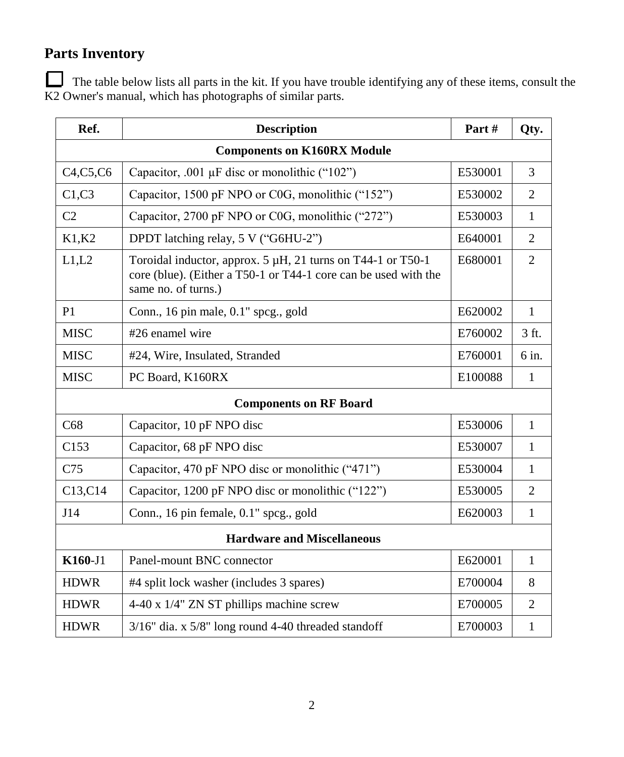# **Parts Inventory**

The table below lists all parts in the kit. If you have trouble identifying any of these items, consult the K2 Owner's manual, which has photographs of similar parts.

| Ref.                              | <b>Description</b>                                                                                                                                    | Part#   | Qty.           |  |
|-----------------------------------|-------------------------------------------------------------------------------------------------------------------------------------------------------|---------|----------------|--|
|                                   | <b>Components on K160RX Module</b>                                                                                                                    |         |                |  |
| C4, C5, C6                        | Capacitor, .001 $\mu$ F disc or monolithic ("102")                                                                                                    | E530001 | 3              |  |
| C1, C3                            | Capacitor, 1500 pF NPO or C0G, monolithic ("152")                                                                                                     | E530002 | 2              |  |
| C <sub>2</sub>                    | Capacitor, 2700 pF NPO or C0G, monolithic ("272")                                                                                                     | E530003 | 1              |  |
| K1,K2                             | DPDT latching relay, 5 V ("G6HU-2")                                                                                                                   | E640001 | $\overline{2}$ |  |
| L1,L2                             | Toroidal inductor, approx. 5 µH, 21 turns on T44-1 or T50-1<br>core (blue). (Either a T50-1 or T44-1 core can be used with the<br>same no. of turns.) | E680001 | $\overline{2}$ |  |
| P <sub>1</sub>                    | Conn., 16 pin male, 0.1" spcg., gold                                                                                                                  | E620002 | $\mathbf{1}$   |  |
| <b>MISC</b>                       | #26 enamel wire                                                                                                                                       | E760002 | 3 ft.          |  |
| <b>MISC</b>                       | #24, Wire, Insulated, Stranded                                                                                                                        | E760001 | 6 in.          |  |
| <b>MISC</b>                       | PC Board, K160RX                                                                                                                                      | E100088 | 1              |  |
|                                   | <b>Components on RF Board</b>                                                                                                                         |         |                |  |
| C68                               | Capacitor, 10 pF NPO disc                                                                                                                             | E530006 | $\mathbf{1}$   |  |
| C153                              | Capacitor, 68 pF NPO disc                                                                                                                             | E530007 | 1              |  |
| C <sub>75</sub>                   | Capacitor, 470 pF NPO disc or monolithic ("471")                                                                                                      | E530004 | $\mathbf{1}$   |  |
| C13,C14                           | Capacitor, 1200 pF NPO disc or monolithic ("122")                                                                                                     | E530005 | $\overline{c}$ |  |
| J14                               | Conn., 16 pin female, 0.1" spcg., gold                                                                                                                | E620003 | $\mathbf{1}$   |  |
| <b>Hardware and Miscellaneous</b> |                                                                                                                                                       |         |                |  |
| K160-J1                           | Panel-mount BNC connector                                                                                                                             | E620001 | $\mathbf{1}$   |  |
| <b>HDWR</b>                       | #4 split lock washer (includes 3 spares)                                                                                                              | E700004 | 8              |  |
| <b>HDWR</b>                       | 4-40 x 1/4" ZN ST phillips machine screw                                                                                                              | E700005 | $\overline{2}$ |  |
| <b>HDWR</b>                       | $3/16$ " dia. x $5/8$ " long round 4-40 threaded standoff                                                                                             | E700003 | 1              |  |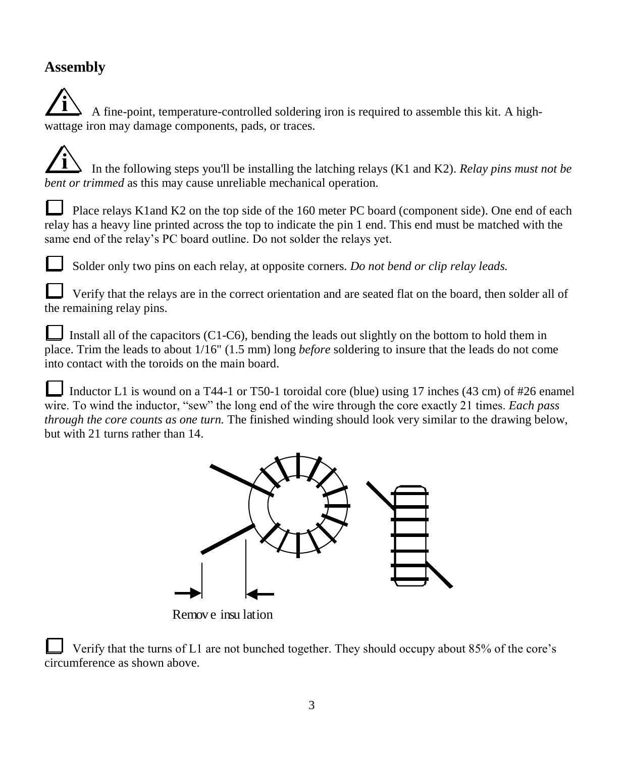### **Assembly**

**i** A fine-point, temperature-controlled soldering iron is required to assemble this kit. A highwattage iron may damage components, pads, or traces.

**i** In the following steps you'll be installing the latching relays (K1 and K2). *Relay pins must not be bent or trimmed* as this may cause unreliable mechanical operation.

Place relays K1and K2 on the top side of the 160 meter PC board (component side). One end of each relay has a heavy line printed across the top to indicate the pin 1 end. This end must be matched with the same end of the relay's PC board outline. Do not solder the relays yet.

Solder only two pins on each relay, at opposite corners. *Do not bend or clip relay leads.*

Verify that the relays are in the correct orientation and are seated flat on the board, then solder all of the remaining relay pins.

Install all of the capacitors (C1-C6), bending the leads out slightly on the bottom to hold them in place. Trim the leads to about 1/16" (1.5 mm) long *before* soldering to insure that the leads do not come into contact with the toroids on the main board.

Inductor L1 is wound on a T44-1 or T50-1 toroidal core (blue) using 17 inches (43 cm) of #26 enamel wire. To wind the inductor, "sew" the long end of the wire through the core exactly 21 times. *Each pass through the core counts as one turn.* The finished winding should look very similar to the drawing below, but with 21 turns rather than 14.



Remov e insu lation

Verify that the turns of L1 are not bunched together. They should occupy about 85% of the core's circumference as shown above.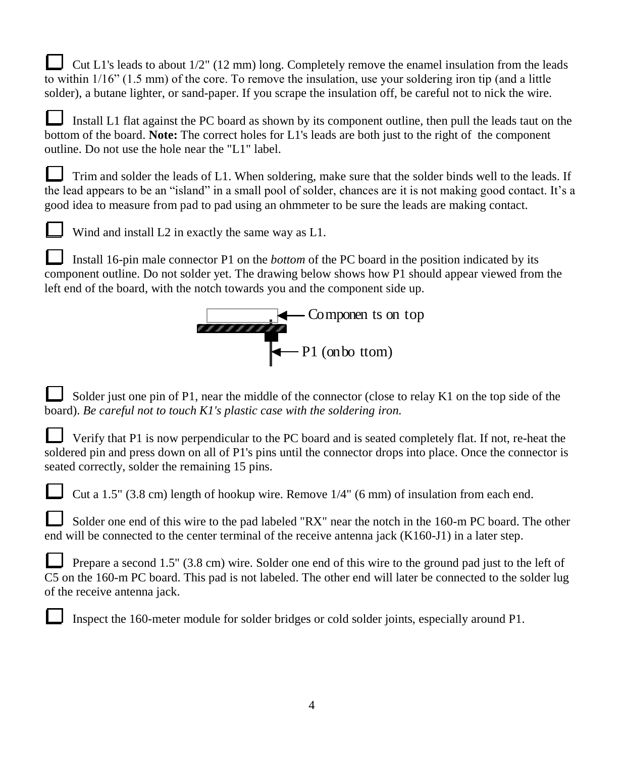Cut L1's leads to about  $1/2$ " (12 mm) long. Completely remove the enamel insulation from the leads to within  $1/16$ " (1.5 mm) of the core. To remove the insulation, use your soldering iron tip (and a little solder), a butane lighter, or sand-paper. If you scrape the insulation off, be careful not to nick the wire.

Install L1 flat against the PC board as shown by its component outline, then pull the leads taut on the bottom of the board. **Note:** The correct holes for L1's leads are both just to the right of the component outline. Do not use the hole near the "L1" label.

Trim and solder the leads of L1. When soldering, make sure that the solder binds well to the leads. If the lead appears to be an "island" in a small pool of solder, chances are it is not making good contact. It's a good idea to measure from pad to pad using an ohmmeter to be sure the leads are making contact.



Wind and install L2 in exactly the same way as L1.

Install 16-pin male connector P1 on the *bottom* of the PC board in the position indicated by its component outline. Do not solder yet. The drawing below shows how P1 should appear viewed from the left end of the board, with the notch towards you and the component side up.



Solder just one pin of P1, near the middle of the connector (close to relay K1 on the top side of the board). *Be careful not to touch K1's plastic case with the soldering iron.*

Verify that P1 is now perpendicular to the PC board and is seated completely flat. If not, re-heat the soldered pin and press down on all of P1's pins until the connector drops into place. Once the connector is seated correctly, solder the remaining 15 pins.

Cut a 1.5" (3.8 cm) length of hookup wire. Remove 1/4" (6 mm) of insulation from each end.

Solder one end of this wire to the pad labeled "RX" near the notch in the 160-m PC board. The other end will be connected to the center terminal of the receive antenna jack (K160-J1) in a later step.

Prepare a second 1.5" (3.8 cm) wire. Solder one end of this wire to the ground pad just to the left of C5 on the 160-m PC board. This pad is not labeled. The other end will later be connected to the solder lug of the receive antenna jack.

Inspect the 160-meter module for solder bridges or cold solder joints, especially around P1.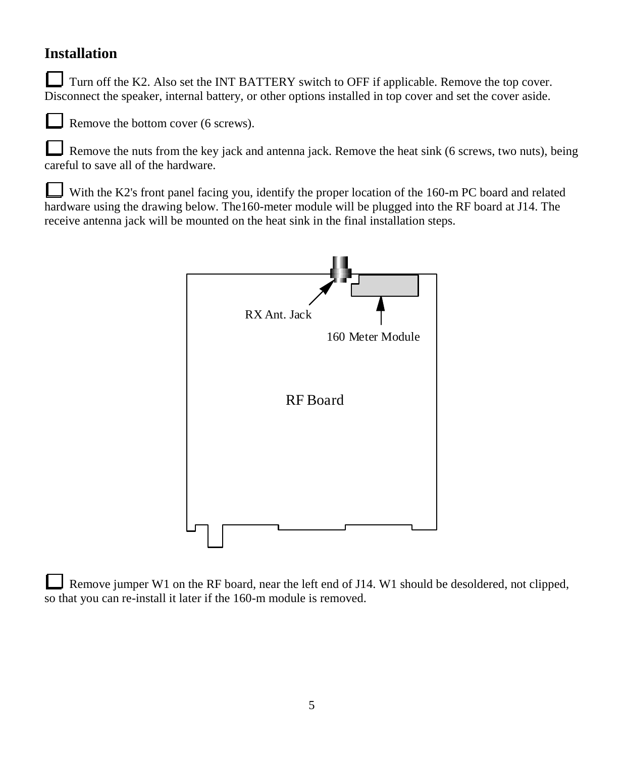### **Installation**

Turn off the K2. Also set the INT BATTERY switch to OFF if applicable. Remove the top cover. Disconnect the speaker, internal battery, or other options installed in top cover and set the cover aside.

Remove the bottom cover (6 screws).

Remove the nuts from the key jack and antenna jack. Remove the heat sink (6 screws, two nuts), being careful to save all of the hardware.

With the K2's front panel facing you, identify the proper location of the 160-m PC board and related hardware using the drawing below. The160-meter module will be plugged into the RF board at J14. The receive antenna jack will be mounted on the heat sink in the final installation steps.



Remove jumper W1 on the RF board, near the left end of J14. W1 should be desoldered, not clipped, so that you can re-install it later if the 160-m module is removed.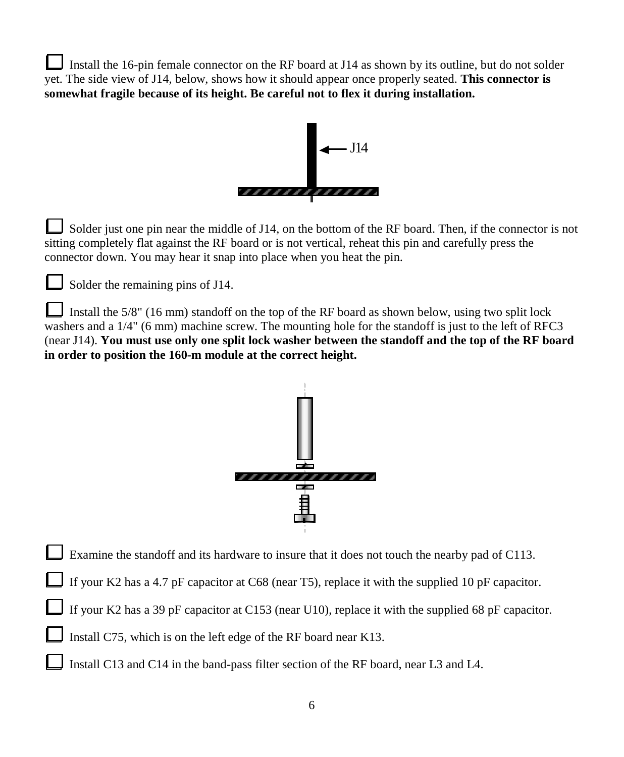Install the 16-pin female connector on the RF board at J14 as shown by its outline, but do not solder yet. The side view of J14, below, shows how it should appear once properly seated. **This connector is somewhat fragile because of its height. Be careful not to flex it during installation.**



Solder just one pin near the middle of J14, on the bottom of the RF board. Then, if the connector is not sitting completely flat against the RF board or is not vertical, reheat this pin and carefully press the connector down. You may hear it snap into place when you heat the pin.



Solder the remaining pins of J14.

Install the 5/8" (16 mm) standoff on the top of the RF board as shown below, using two split lock washers and a 1/4" (6 mm) machine screw. The mounting hole for the standoff is just to the left of RFC3 (near J14). **You must use only one split lock washer between the standoff and the top of the RF board in order to position the 160-m module at the correct height.**



Examine the standoff and its hardware to insure that it does not touch the nearby pad of C113.

If your K2 has a 4.7 pF capacitor at C68 (near T5), replace it with the supplied 10 pF capacitor.

If your K2 has a 39 pF capacitor at C153 (near U10), replace it with the supplied 68 pF capacitor.

Install C75, which is on the left edge of the RF board near K13.

Install C13 and C14 in the band-pass filter section of the RF board, near L3 and L4.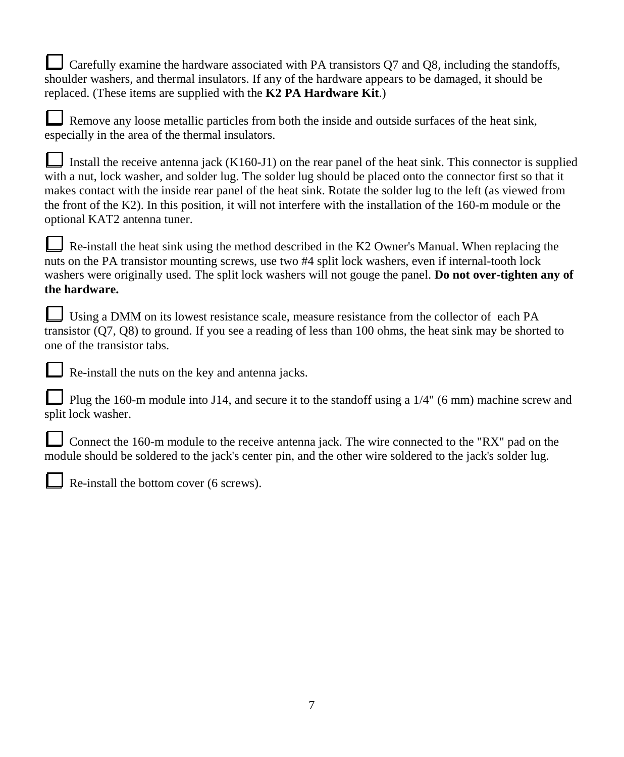Carefully examine the hardware associated with PA transistors  $Q7$  and  $Q8$ , including the standoffs, shoulder washers, and thermal insulators. If any of the hardware appears to be damaged, it should be replaced. (These items are supplied with the **K2 PA Hardware Kit**.)

Remove any loose metallic particles from both the inside and outside surfaces of the heat sink, especially in the area of the thermal insulators.

Install the receive antenna jack  $(K160-J1)$  on the rear panel of the heat sink. This connector is supplied with a nut, lock washer, and solder lug. The solder lug should be placed onto the connector first so that it makes contact with the inside rear panel of the heat sink. Rotate the solder lug to the left (as viewed from the front of the K2). In this position, it will not interfere with the installation of the 160-m module or the optional KAT2 antenna tuner.

Re-install the heat sink using the method described in the K2 Owner's Manual. When replacing the nuts on the PA transistor mounting screws, use two #4 split lock washers, even if internal-tooth lock washers were originally used. The split lock washers will not gouge the panel. **Do not over-tighten any of the hardware.**

| Using a DMM on its lowest resistance scale, measure resistance from the collector of each PA                 |
|--------------------------------------------------------------------------------------------------------------|
| transistor $(Q7, Q8)$ to ground. If you see a reading of less than 100 ohms, the heat sink may be shorted to |
| one of the transistor tabs.                                                                                  |

Re-install the nuts on the key and antenna jacks.

Plug the 160-m module into J14, and secure it to the standoff using a 1/4" (6 mm) machine screw and split lock washer.

Connect the 160-m module to the receive antenna jack. The wire connected to the "RX" pad on the module should be soldered to the jack's center pin, and the other wire soldered to the jack's solder lug.



Re-install the bottom cover (6 screws).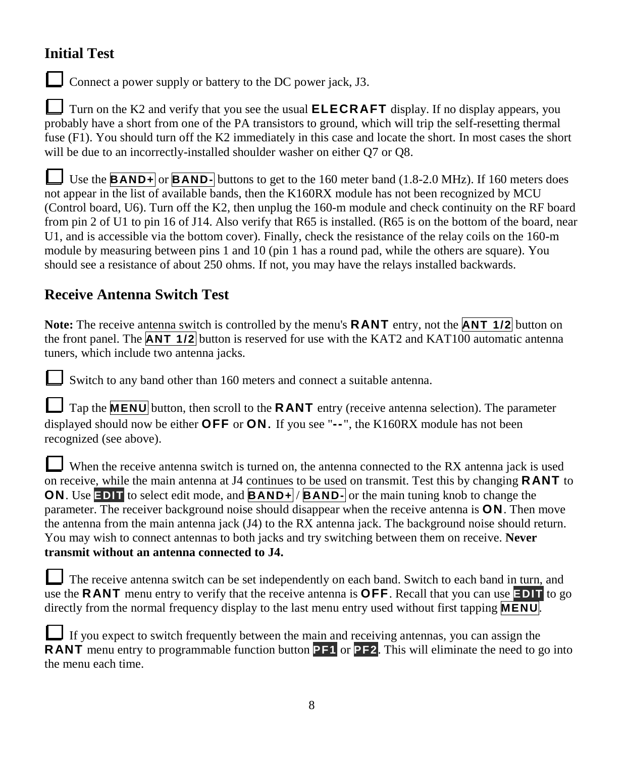### **Initial Test**

Connect a power supply or battery to the DC power jack, J3.

Turn on the K2 and verify that you see the usual **ELECRAFT** display. If no display appears, you probably have a short from one of the PA transistors to ground, which will trip the self-resetting thermal fuse (F1). You should turn off the K2 immediately in this case and locate the short. In most cases the short will be due to an incorrectly-installed shoulder washer on either Q7 or Q8.

Use the **BAND+** or **BAND-** buttons to get to the 160 meter band (1.8-2.0 MHz). If 160 meters does not appear in the list of available bands, then the K160RX module has not been recognized by MCU (Control board, U6). Turn off the K2, then unplug the 160-m module and check continuity on the RF board from pin 2 of U1 to pin 16 of J14. Also verify that R65 is installed. (R65 is on the bottom of the board, near U1, and is accessible via the bottom cover). Finally, check the resistance of the relay coils on the 160-m module by measuring between pins 1 and 10 (pin 1 has a round pad, while the others are square). You should see a resistance of about 250 ohms. If not, you may have the relays installed backwards.

## **Receive Antenna Switch Test**

**Note:** The receive antenna switch is controlled by the menu's **RANT** entry, not the **ANT 1/2** button on the front panel. The **ANT 1/2** button is reserved for use with the KAT2 and KAT100 automatic antenna tuners, which include two antenna jacks.

Switch to any band other than 160 meters and connect a suitable antenna.

| $\Box$ Tap the <b>MENU</b> button, then scroll to the <b>RANT</b> entry (receive antenna selection). The parameter |
|--------------------------------------------------------------------------------------------------------------------|
| displayed should now be either <b>OFF</b> or <b>ON</b> . If you see " $-$ ", the K160RX module has not been        |
| recognized (see above).                                                                                            |

When the receive antenna switch is turned on, the antenna connected to the RX antenna jack is used on receive, while the main antenna at J4 continues to be used on transmit. Test this by changing **RANT** to **ON.** Use **EDIT** to select edit mode, and **BAND+** / **BAND-** or the main tuning knob to change the parameter. The receiver background noise should disappear when the receive antenna is **ON**. Then move the antenna from the main antenna jack (J4) to the RX antenna jack. The background noise should return. You may wish to connect antennas to both jacks and try switching between them on receive. **Never transmit without an antenna connected to J4.**

| The receive antenna switch can be set independently on each band. Switch to each band in turn, and                          |
|-----------------------------------------------------------------------------------------------------------------------------|
| use the <b>RANT</b> menu entry to verify that the receive antenna is <b>OFF</b> . Recall that you can use <b>EDIT</b> to go |
| directly from the normal frequency display to the last menu entry used without first tapping <b>MENU</b> .                  |

If you expect to switch frequently between the main and receiving antennas, you can assign the **RANT** menu entry to programmable function button **PF1** or **PF2**. This will eliminate the need to go into the menu each time.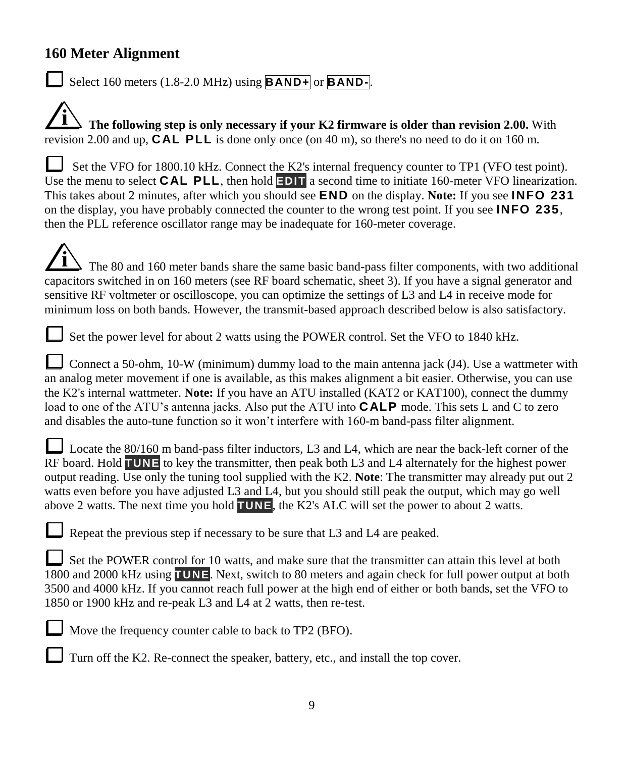### **160 Meter Alignment**

Select 160 meters (1.8-2.0 MHz) using **BAND+** or **BAND-**.

**i The following step is only necessary if your K2 firmware is older than revision 2.00.** With revision 2.00 and up, **CAL PLL** is done only once (on 40 m), so there's no need to do it on 160 m.

Set the VFO for 1800.10 kHz. Connect the K2's internal frequency counter to TP1 (VFO test point). Use the menu to select **CAL PLL**, then hold **EDIT** a second time to initiate 160-meter VFO linearization. This takes about 2 minutes, after which you should see **END** on the display. **Note:** If you see **INFO 231** on the display, you have probably connected the counter to the wrong test point. If you see **INFO 235**, then the PLL reference oscillator range may be inadequate for 160-meter coverage.

**i** The 80 and 160 meter bands share the same basic band-pass filter components, with two additional capacitors switched in on 160 meters (see RF board schematic, sheet 3). If you have a signal generator and sensitive RF voltmeter or oscilloscope, you can optimize the settings of L3 and L4 in receive mode for minimum loss on both bands. However, the transmit-based approach described below is also satisfactory.

Set the power level for about 2 watts using the POWER control. Set the VFO to 1840 kHz.

Connect a 50-ohm, 10-W (minimum) dummy load to the main antenna jack (J4). Use a wattmeter with an analog meter movement if one is available, as this makes alignment a bit easier. Otherwise, you can use the K2's internal wattmeter. **Note:** If you have an ATU installed (KAT2 or KAT100), connect the dummy load to one of the ATU's antenna jacks. Also put the ATU into **CALP** mode. This sets L and C to zero and disables the auto-tune function so it won't interfere with 160-m band-pass filter alignment.

Locate the 80/160 m band-pass filter inductors, L3 and L4, which are near the back-left corner of the RF board. Hold **TUNE** to key the transmitter, then peak both L3 and L4 alternately for the highest power output reading. Use only the tuning tool supplied with the K2. **Note**: The transmitter may already put out 2 watts even before you have adjusted L3 and L4, but you should still peak the output, which may go well above 2 watts. The next time you hold **TUNE**, the K2's ALC will set the power to about 2 watts.

Repeat the previous step if necessary to be sure that L3 and L4 are peaked.

Set the POWER control for 10 watts, and make sure that the transmitter can attain this level at both 1800 and 2000 kHz using **TUNE**. Next, switch to 80 meters and again check for full power output at both 3500 and 4000 kHz. If you cannot reach full power at the high end of either or both bands, set the VFO to 1850 or 1900 kHz and re-peak L3 and L4 at 2 watts, then re-test.



Move the frequency counter cable to back to TP2 (BFO).

Turn off the K2. Re-connect the speaker, battery, etc., and install the top cover.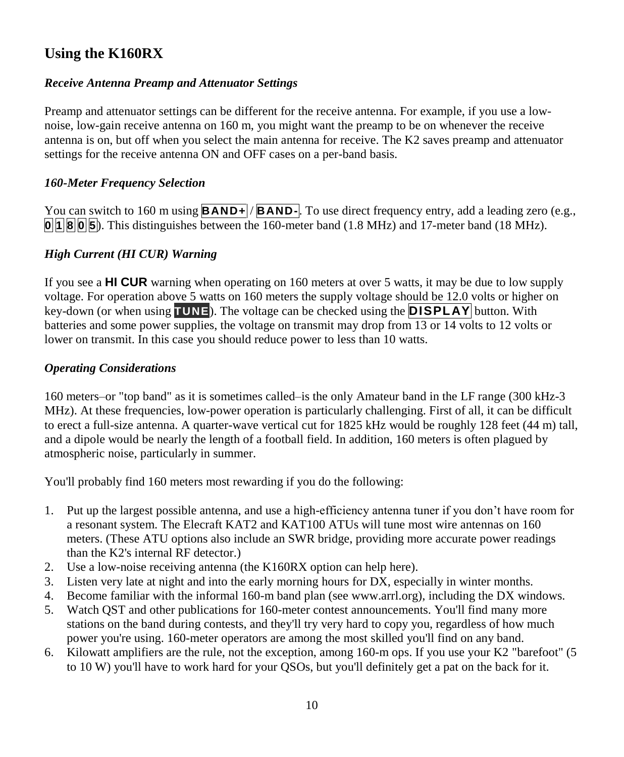### **Using the K160RX**

#### *Receive Antenna Preamp and Attenuator Settings*

Preamp and attenuator settings can be different for the receive antenna. For example, if you use a lownoise, low-gain receive antenna on 160 m, you might want the preamp to be on whenever the receive antenna is on, but off when you select the main antenna for receive. The K2 saves preamp and attenuator settings for the receive antenna ON and OFF cases on a per-band basis.

#### *160-Meter Frequency Selection*

You can switch to 160 m using **BAND+** / **BAND-**. To use direct frequency entry, add a leading zero (e.g., **0 1 8 0 5**). This distinguishes between the 160-meter band (1.8 MHz) and 17-meter band (18 MHz).

#### *High Current (HI CUR) Warning*

If you see a **HI CUR** warning when operating on 160 meters at over 5 watts, it may be due to low supply voltage. For operation above 5 watts on 160 meters the supply voltage should be 12.0 volts or higher on key-down (or when using **TUNE**). The voltage can be checked using the **DISPLAY** button. With batteries and some power supplies, the voltage on transmit may drop from 13 or 14 volts to 12 volts or lower on transmit. In this case you should reduce power to less than 10 watts.

#### *Operating Considerations*

160 meters–or "top band" as it is sometimes called–is the only Amateur band in the LF range (300 kHz-3 MHz). At these frequencies, low-power operation is particularly challenging. First of all, it can be difficult to erect a full-size antenna. A quarter-wave vertical cut for 1825 kHz would be roughly 128 feet (44 m) tall, and a dipole would be nearly the length of a football field. In addition, 160 meters is often plagued by atmospheric noise, particularly in summer.

You'll probably find 160 meters most rewarding if you do the following:

- 1. Put up the largest possible antenna, and use a high-efficiencyantennatunerifyoudon'thaveroomfor a resonant system. The Elecraft KAT2 and KAT100 ATUs will tune most wire antennas on 160 meters. (These ATU options also include an SWR bridge, providing more accurate power readings than the K2's internal RF detector.)
- 2. Use a low-noise receiving antenna (the K160RX option can help here).
- 3. Listen very late at night and into the early morning hours for DX, especially in winter months.
- 4. Become familiar with the informal 160-m band plan (see www.arrl.org), including the DX windows.
- 5. Watch QST and other publications for 160-meter contest announcements. You'll find many more stations on the band during contests, and they'll try very hard to copy you, regardless of how much power you're using. 160-meter operators are among the most skilled you'll find on any band.
- 6. Kilowatt amplifiers are the rule, not the exception, among 160-m ops. If you use your K2 "barefoot" (5 to 10 W) you'll have to work hard for your QSOs, but you'll definitely get a pat on the back for it.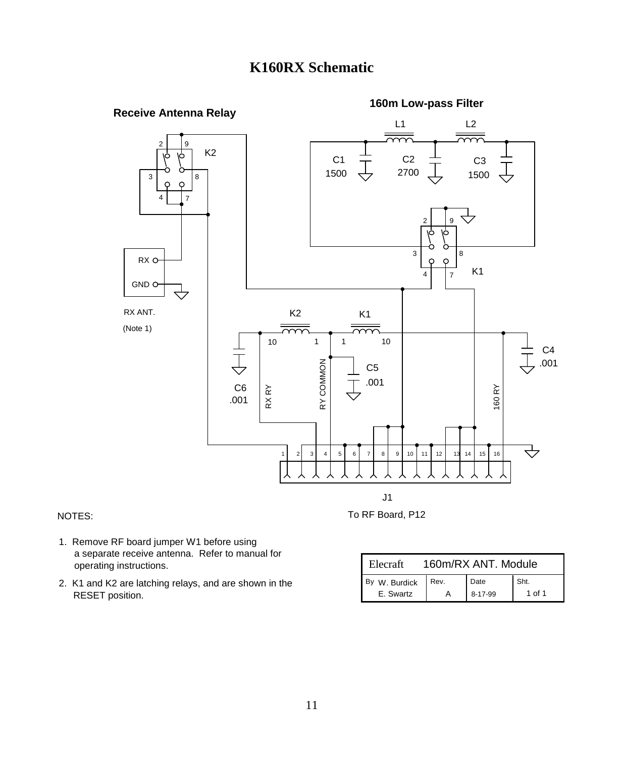### **K160RX Schematic**



#### NOTES:

To RF Board, P12

- a separate receive antenna. Refer to manual for operating instructions. 1. Remove RF board jumper W1 before using
- RESET position. 2. K1 and K2 are latching relays, and are shown in the

| Elecraft      | 160m/RX ANT, Module |         |      |
|---------------|---------------------|---------|------|
| By W. Burdick | Rev.                | Date    | Sht. |
| E. Swartz     |                     | 8-17-99 | ∩f 1 |